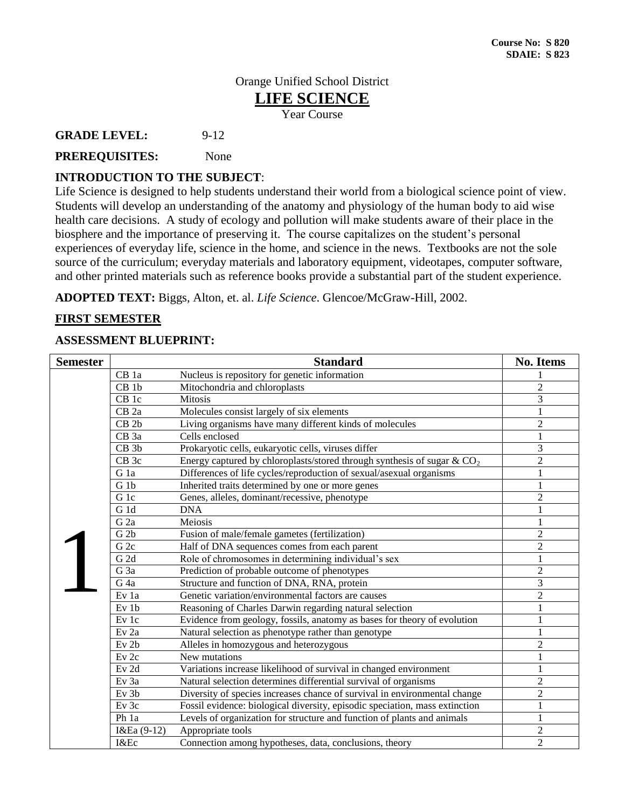### Orange Unified School District **LIFE SCIENCE**  Year Course

**GRADE LEVEL:** 9-12

# **PREREQUISITES:** None

### **INTRODUCTION TO THE SUBJECT**:

Life Science is designed to help students understand their world from a biological science point of view. Students will develop an understanding of the anatomy and physiology of the human body to aid wise health care decisions. A study of ecology and pollution will make students aware of their place in the biosphere and the importance of preserving it. The course capitalizes on the student's personal experiences of everyday life, science in the home, and science in the news. Textbooks are not the sole source of the curriculum; everyday materials and laboratory equipment, videotapes, computer software, and other printed materials such as reference books provide a substantial part of the student experience.

**ADOPTED TEXT:** Biggs, Alton, et. al. *Life Science*. Glencoe/McGraw-Hill, 2002.

# **FIRST SEMESTER**

# **ASSESSMENT BLUEPRINT:**

| <b>Semester</b>                                                                    | <b>Standard</b>  |                                                                             |                |
|------------------------------------------------------------------------------------|------------------|-----------------------------------------------------------------------------|----------------|
|                                                                                    | CB 1a            | Nucleus is repository for genetic information                               |                |
|                                                                                    | CB <sub>1b</sub> | Mitochondria and chloroplasts                                               | $\overline{2}$ |
|                                                                                    | CB <sub>1c</sub> | <b>Mitosis</b>                                                              | 3              |
|                                                                                    | CB <sub>2a</sub> | Molecules consist largely of six elements                                   | 1              |
|                                                                                    | CB <sub>2b</sub> | Living organisms have many different kinds of molecules                     | $\overline{2}$ |
|                                                                                    | CB <sub>3a</sub> | Cells enclosed                                                              | $\mathbf{1}$   |
|                                                                                    | CB <sub>3b</sub> | Prokaryotic cells, eukaryotic cells, viruses differ                         | 3              |
|                                                                                    | CB <sub>3c</sub> | Energy captured by chloroplasts/stored through synthesis of sugar $& CO2$   | $\overline{c}$ |
|                                                                                    | G 1a             | Differences of life cycles/reproduction of sexual/asexual organisms         | $\mathbf{1}$   |
|                                                                                    | G <sub>1b</sub>  | Inherited traits determined by one or more genes                            | $\mathbf{1}$   |
|                                                                                    | G 1c             | Genes, alleles, dominant/recessive, phenotype                               | $\overline{2}$ |
|                                                                                    | G 1d             | <b>DNA</b>                                                                  |                |
|                                                                                    | G <sub>2a</sub>  | Meiosis                                                                     | 1              |
|                                                                                    | G <sub>2b</sub>  | Fusion of male/female gametes (fertilization)                               | $\overline{2}$ |
|                                                                                    | G <sub>2c</sub>  | Half of DNA sequences comes from each parent                                | $\overline{2}$ |
|                                                                                    | G2d              | Role of chromosomes in determining individual's sex                         | $\mathbf{1}$   |
|                                                                                    | G 3a             | Prediction of probable outcome of phenotypes                                | $\overline{2}$ |
|                                                                                    | G <sub>4a</sub>  | Structure and function of DNA, RNA, protein                                 | $\overline{3}$ |
|                                                                                    | Ev 1a            | Genetic variation/environmental factors are causes                          | $\overline{2}$ |
|                                                                                    | Ev 1b            | Reasoning of Charles Darwin regarding natural selection                     | 1              |
|                                                                                    | Ev 1c            | Evidence from geology, fossils, anatomy as bases for theory of evolution    | $\mathbf{1}$   |
|                                                                                    | Ev 2a            | Natural selection as phenotype rather than genotype                         |                |
|                                                                                    | Ev <sub>2b</sub> | Alleles in homozygous and heterozygous                                      | $\overline{2}$ |
|                                                                                    | Ev <sub>2c</sub> | New mutations                                                               | $\mathbf{1}$   |
|                                                                                    | $Ev$ 2d          | Variations increase likelihood of survival in changed environment           |                |
|                                                                                    | Ev 3a            | Natural selection determines differential survival of organisms             | 2              |
| Ev 3b<br>Diversity of species increases chance of survival in environmental change |                  | $\overline{2}$                                                              |                |
|                                                                                    | $Ev$ 3 $c$       | Fossil evidence: biological diversity, episodic speciation, mass extinction | $\mathbf{1}$   |
|                                                                                    | Ph 1a            | Levels of organization for structure and function of plants and animals     | $\mathbf{1}$   |
|                                                                                    | I&Ea (9-12)      | Appropriate tools                                                           | $\overline{2}$ |
|                                                                                    | I&Ec             | Connection among hypotheses, data, conclusions, theory                      | $\overline{2}$ |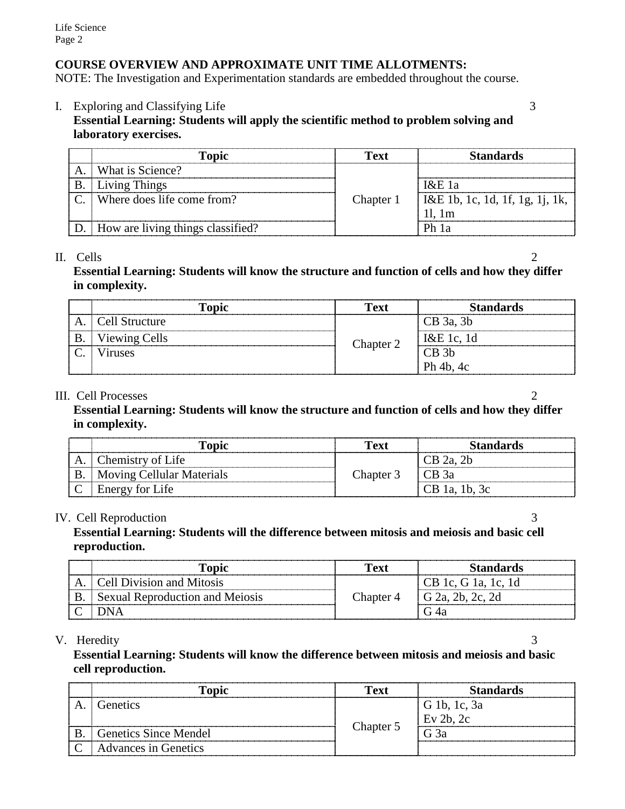# **COURSE OVERVIEW AND APPROXIMATE UNIT TIME ALLOTMENTS:**

NOTE: The Investigation and Experimentation standards are embedded throughout the course.

I. Exploring and Classifying Life 3

# **Essential Learning: Students will apply the scientific method to problem solving and laboratory exercises.**

|    | <b>Topic</b>                      | Text      | <b>Standards</b>                        |
|----|-----------------------------------|-----------|-----------------------------------------|
| A  | What is Science?                  |           |                                         |
| Β. | <b>Living Things</b>              |           | $1\&E1a$                                |
|    | Where does life come from?        | Chapter 1 | $\vert$ I&E 1b, 1c, 1d, 1f, 1g, 1j, 1k, |
|    |                                   |           | 11.1m                                   |
|    | How are living things classified? |           | Ph 1a                                   |

### II. Cells 2

# **Essential Learning: Students will know the structure and function of cells and how they differ in complexity.**

| Topic          | <b>Text</b> | <b>Standards</b> |
|----------------|-------------|------------------|
| Cell Structure |             | $CB$ 3a, 3b      |
| Viewing Cells  | Chapter 2   | I&E 1c, 1d       |
| <b>Viruses</b> |             | $CB$ 3b          |
|                |             | Ph 4b, 4c        |

### III. Cell Processes 2

**Essential Learning: Students will know the structure and function of cells and how they differ in complexity.**

|    | l'opic                    | Text      | <b>Standards</b> |
|----|---------------------------|-----------|------------------|
| A. | Chemistry of Life         |           | $CB$ 2a, 2b      |
|    | Moving Cellular Materials | Chapter 3 | $ICB$ 3a         |
|    | <b>Energy for Life</b>    |           | $CB$ 1a, 1b, 3c  |

# IV. Cell Reproduction 3

**Essential Learning: Students will the difference between mitosis and meiosis and basic cell reproduction.**

| Topic                                  | Text      | <b>Standards</b>    |
|----------------------------------------|-----------|---------------------|
| . Cell Division and Mitosis            |           | CB 1c, G 1a, 1c, 1d |
| <b>Sexual Reproduction and Meiosis</b> | Chapter 4 | $G$ 2a, 2b, 2c, 2d  |
|                                        |           |                     |

# V. Heredity 3

**Essential Learning: Students will know the difference between mitosis and meiosis and basic cell reproduction.**

|          | <b>Topic</b>                 | <b>Text</b> | <b>Standards</b> |
|----------|------------------------------|-------------|------------------|
|          | Genetics                     |             | G 1b, 1c, 3a     |
|          |                              |             | $Ev$ 2b, 2c      |
|          | <b>Genetics Since Mendel</b> | Chapter 5   | G <sub>3a</sub>  |
| $\Gamma$ | <b>Advances in Genetics</b>  |             |                  |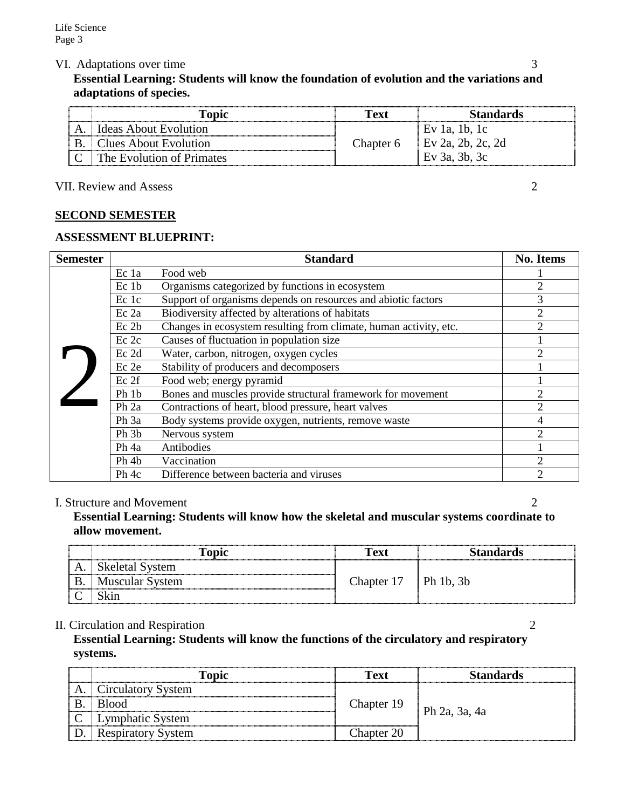VI. Adaptations over time 3

# **Essential Learning: Students will know the foundation of evolution and the variations and adaptations of species.**

|    | l'opic                       | Fext            | Standards                     |
|----|------------------------------|-----------------|-------------------------------|
| A. | <b>Ideas About Evolution</b> |                 |                               |
|    | Iues About Evolution         | hapter <i>ـ</i> | Ev $2a$ ,                     |
|    | The Evolution of Primates    |                 | <sup>7</sup> 3a, 3b, 3c<br>EV |

VII. Review and Assess 2

# **SECOND SEMESTER**

### **ASSESSMENT BLUEPRINT:**

| <b>Semester</b> |                  | <b>Standard</b>                                                   | <b>No. Items</b>            |
|-----------------|------------------|-------------------------------------------------------------------|-----------------------------|
|                 | Ec 1a            | Food web                                                          |                             |
|                 | Ec 1b            | Organisms categorized by functions in ecosystem                   | 2                           |
|                 | Ec 1c            | Support of organisms depends on resources and abiotic factors     | 3                           |
|                 | $Ec$ 2a          | Biodiversity affected by alterations of habitats                  | 2                           |
|                 | Ec 2b            | Changes in ecosystem resulting from climate, human activity, etc. | $\mathcal{D}$               |
|                 | Ec 2c            | Causes of fluctuation in population size                          |                             |
|                 | Ec 2d            | Water, carbon, nitrogen, oxygen cycles                            |                             |
|                 | Ec 2e            | Stability of producers and decomposers                            |                             |
|                 | Ec 2f            | Food web; energy pyramid                                          |                             |
|                 | Ph 1b            | Bones and muscles provide structural framework for movement       | $\mathcal{D}_{\mathcal{L}}$ |
|                 | Ph <sub>2a</sub> | Contractions of heart, blood pressure, heart valves               | $\mathcal{D}_{\mathcal{L}}$ |
|                 | Ph 3a            | Body systems provide oxygen, nutrients, remove waste              | 4                           |
|                 | Ph 3b            | Nervous system                                                    |                             |
|                 | Ph 4a            | Antibodies                                                        |                             |
|                 | Ph 4b            | Vaccination                                                       | $\overline{2}$              |
|                 | Ph 4c            | Difference between bacteria and viruses                           | っ                           |

#### I. Structure and Movement 2

**Essential Learning: Students will know how the skeletal and muscular systems coordinate to allow movement.**

|   | <b>Topic</b>           | Text                     | <b>Standards</b> |
|---|------------------------|--------------------------|------------------|
|   | Skeletal System        |                          |                  |
| B | <b>Muscular System</b> | Chapter $17$   Ph 1b, 3b |                  |
|   |                        |                          |                  |

### II. Circulation and Respiration 2

**Essential Learning: Students will know the functions of the circulatory and respiratory systems.**

|    | Topic                     | Text       | <b>Standards</b> |
|----|---------------------------|------------|------------------|
| А. | Circulatory System        |            |                  |
| B. | <b>Blood</b>              | Chapter 19 | Ph 2a, 3a, 4a    |
|    | Lymphatic System          |            |                  |
|    | <b>Respiratory System</b> | Chapter 20 |                  |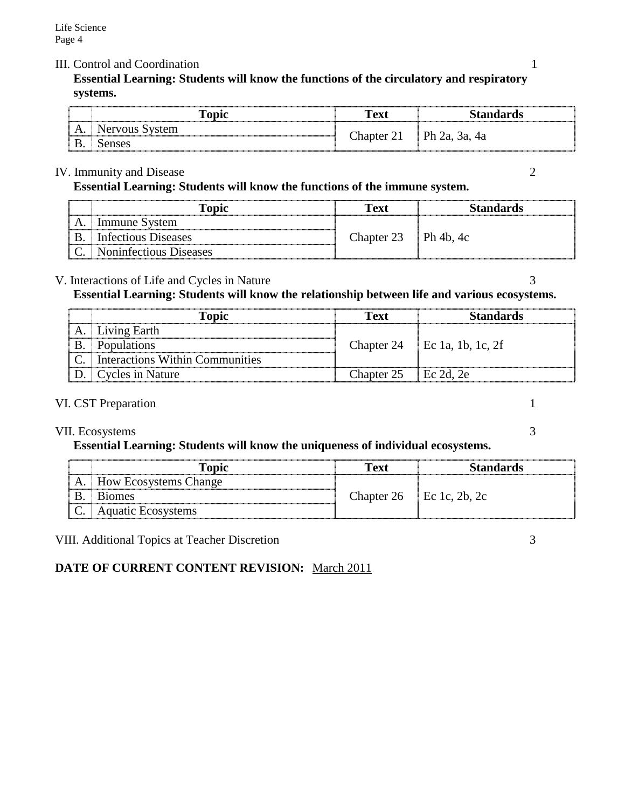### III. Control and Coordination 1

**Essential Learning: Students will know the functions of the circulatory and respiratory systems.**

| --------------                  | Tonic | Fext       | Standards           |
|---------------------------------|-------|------------|---------------------|
| . .<br><b>La management and</b> | vuo   | i hanter i |                     |
| D<br>╜                          |       |            | $Ph 2a$ ,<br>3a, 4a |

### IV. Immunity and Disease 2

**Essential Learning: Students will know the functions of the immune system.**

| Topic                       | Text                   | <b>Standards</b> |
|-----------------------------|------------------------|------------------|
| Immune System               |                        |                  |
| Infectious Diseases         | Chapter $23$ Ph 4b, 4c |                  |
| C.   Noninfectious Diseases |                        |                  |

### V. Interactions of Life and Cycles in Nature 3

**Essential Learning: Students will know the relationship between life and various ecosystems.**

| Topic                                | Text                   | <b>Standards</b>             |
|--------------------------------------|------------------------|------------------------------|
| A. Living Earth                      |                        |                              |
| <b>B.</b> Populations                |                        | Chapter 24 Ec 1a, 1b, 1c, 2f |
| C.   Interactions Within Communities |                        |                              |
| D. Cycles in Nature                  | Chapter $25$ Ec 2d, 2e |                              |

#### VI. CST Preparation 1

### VII. Ecosystems 3

### **Essential Learning: Students will know the uniqueness of individual ecosystems.**

|    | l'opic                       | Text | Standards                |  |
|----|------------------------------|------|--------------------------|--|
| А. | <b>How Ecosystems Change</b> |      |                          |  |
|    | <b>B</b> <sub>10</sub> mes   |      | Chapter 26 Ec 1c, 2b, 2c |  |
|    | <b>Aquatic Ecosystems</b>    |      |                          |  |

VIII. Additional Topics at Teacher Discretion 3

# **DATE OF CURRENT CONTENT REVISION:** March 2011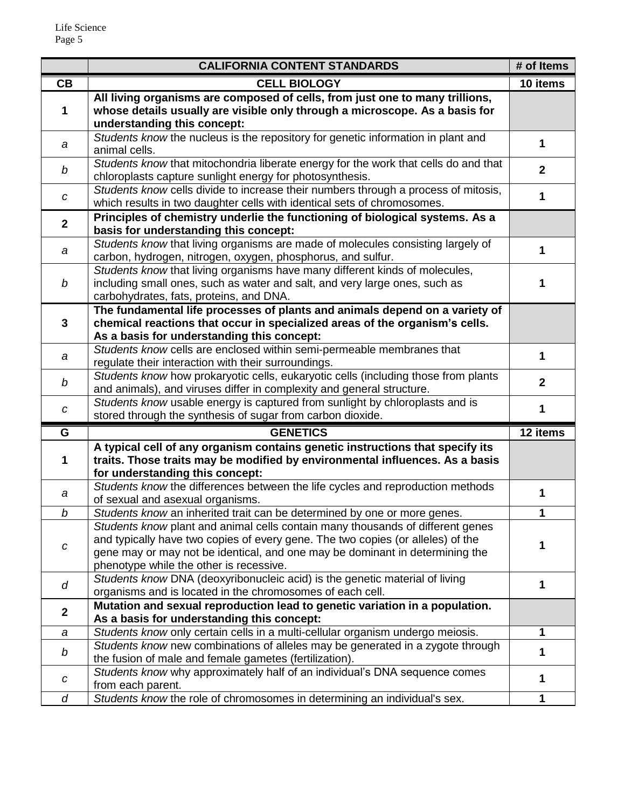|                                                                                                                                                         | <b>CALIFORNIA CONTENT STANDARDS</b>                                                                                                                              |                |
|---------------------------------------------------------------------------------------------------------------------------------------------------------|------------------------------------------------------------------------------------------------------------------------------------------------------------------|----------------|
| CB                                                                                                                                                      | <b>CELL BIOLOGY</b>                                                                                                                                              |                |
|                                                                                                                                                         | All living organisms are composed of cells, from just one to many trillions,                                                                                     |                |
| 1                                                                                                                                                       | whose details usually are visible only through a microscope. As a basis for                                                                                      |                |
|                                                                                                                                                         | understanding this concept:                                                                                                                                      |                |
| a                                                                                                                                                       | Students know the nucleus is the repository for genetic information in plant and                                                                                 | 1              |
|                                                                                                                                                         | animal cells.                                                                                                                                                    |                |
| b                                                                                                                                                       | Students know that mitochondria liberate energy for the work that cells do and that                                                                              | $\overline{2}$ |
|                                                                                                                                                         | chloroplasts capture sunlight energy for photosynthesis.                                                                                                         |                |
| C                                                                                                                                                       | Students know cells divide to increase their numbers through a process of mitosis,                                                                               | 1              |
| which results in two daughter cells with identical sets of chromosomes.<br>Principles of chemistry underlie the functioning of biological systems. As a |                                                                                                                                                                  |                |
| $\overline{2}$                                                                                                                                          | basis for understanding this concept:                                                                                                                            |                |
|                                                                                                                                                         | Students know that living organisms are made of molecules consisting largely of                                                                                  |                |
| $\boldsymbol{a}$                                                                                                                                        | carbon, hydrogen, nitrogen, oxygen, phosphorus, and sulfur.                                                                                                      | 1              |
|                                                                                                                                                         | Students know that living organisms have many different kinds of molecules,                                                                                      |                |
| $\boldsymbol{b}$                                                                                                                                        | including small ones, such as water and salt, and very large ones, such as                                                                                       |                |
|                                                                                                                                                         | carbohydrates, fats, proteins, and DNA.                                                                                                                          |                |
|                                                                                                                                                         | The fundamental life processes of plants and animals depend on a variety of                                                                                      |                |
| $\mathbf{3}$                                                                                                                                            | chemical reactions that occur in specialized areas of the organism's cells.                                                                                      |                |
|                                                                                                                                                         | As a basis for understanding this concept:                                                                                                                       |                |
| a                                                                                                                                                       | Students know cells are enclosed within semi-permeable membranes that                                                                                            | 1              |
|                                                                                                                                                         | regulate their interaction with their surroundings.                                                                                                              |                |
| b                                                                                                                                                       | Students know how prokaryotic cells, eukaryotic cells (including those from plants                                                                               | $\mathbf{2}$   |
|                                                                                                                                                         | and animals), and viruses differ in complexity and general structure.                                                                                            |                |
| $\boldsymbol{C}$                                                                                                                                        | Students know usable energy is captured from sunlight by chloroplasts and is                                                                                     | 1              |
|                                                                                                                                                         | stored through the synthesis of sugar from carbon dioxide.                                                                                                       |                |
| G                                                                                                                                                       | <b>GENETICS</b>                                                                                                                                                  | 12 items       |
| 1                                                                                                                                                       | A typical cell of any organism contains genetic instructions that specify its<br>traits. Those traits may be modified by environmental influences. As a basis    |                |
|                                                                                                                                                         |                                                                                                                                                                  |                |
|                                                                                                                                                         | for understanding this concept:<br>Students know the differences between the life cycles and reproduction methods                                                |                |
| a                                                                                                                                                       | of sexual and asexual organisms.                                                                                                                                 | 1              |
| $\boldsymbol{b}$                                                                                                                                        | Students know an inherited trait can be determined by one or more genes.                                                                                         |                |
|                                                                                                                                                         | Students know plant and animal cells contain many thousands of different genes                                                                                   |                |
|                                                                                                                                                         | and typically have two copies of every gene. The two copies (or alleles) of the                                                                                  | 1              |
| C                                                                                                                                                       | gene may or may not be identical, and one may be dominant in determining the                                                                                     |                |
|                                                                                                                                                         | phenotype while the other is recessive.                                                                                                                          |                |
| d                                                                                                                                                       | Students know DNA (deoxyribonucleic acid) is the genetic material of living                                                                                      | 1              |
|                                                                                                                                                         | organisms and is located in the chromosomes of each cell.                                                                                                        |                |
| $\mathbf{2}$                                                                                                                                            | Mutation and sexual reproduction lead to genetic variation in a population.                                                                                      |                |
|                                                                                                                                                         | As a basis for understanding this concept:                                                                                                                       |                |
| a                                                                                                                                                       | Students know only certain cells in a multi-cellular organism undergo meiosis.<br>Students know new combinations of alleles may be generated in a zygote through | $\mathbf 1$    |
| b                                                                                                                                                       | the fusion of male and female gametes (fertilization).                                                                                                           | 1              |
|                                                                                                                                                         | Students know why approximately half of an individual's DNA sequence comes                                                                                       |                |
| с                                                                                                                                                       | from each parent.                                                                                                                                                | 1              |
| d                                                                                                                                                       | Students know the role of chromosomes in determining an individual's sex.                                                                                        | 1              |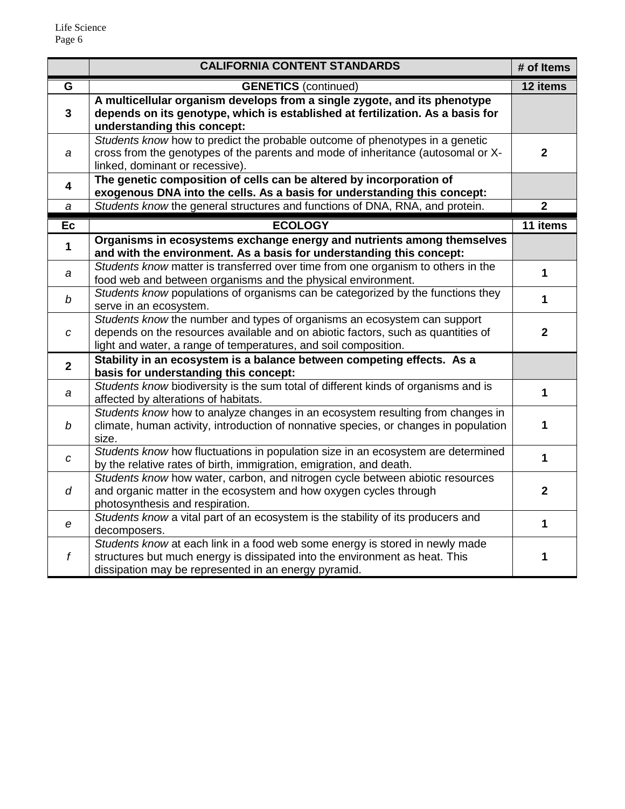|                         | <b>CALIFORNIA CONTENT STANDARDS</b>                                                                                                                                                                                             |                |
|-------------------------|---------------------------------------------------------------------------------------------------------------------------------------------------------------------------------------------------------------------------------|----------------|
| G                       | <b>GENETICS</b> (continued)                                                                                                                                                                                                     | 12 items       |
| 3                       | A multicellular organism develops from a single zygote, and its phenotype<br>depends on its genotype, which is established at fertilization. As a basis for<br>understanding this concept:                                      |                |
| а                       | Students know how to predict the probable outcome of phenotypes in a genetic<br>cross from the genotypes of the parents and mode of inheritance (autosomal or X-<br>linked, dominant or recessive).                             |                |
| $\overline{\mathbf{4}}$ | The genetic composition of cells can be altered by incorporation of<br>exogenous DNA into the cells. As a basis for understanding this concept:                                                                                 |                |
| а                       | Students know the general structures and functions of DNA, RNA, and protein.                                                                                                                                                    | $\overline{2}$ |
| Ec                      | <b>ECOLOGY</b>                                                                                                                                                                                                                  | 11 items       |
| $\mathbf{1}$            | Organisms in ecosystems exchange energy and nutrients among themselves<br>and with the environment. As a basis for understanding this concept:                                                                                  |                |
| а                       | Students know matter is transferred over time from one organism to others in the<br>food web and between organisms and the physical environment.                                                                                | $\mathbf{1}$   |
| $\bm{b}$                | Students know populations of organisms can be categorized by the functions they<br>serve in an ecosystem.                                                                                                                       | $\mathbf{1}$   |
| C                       | Students know the number and types of organisms an ecosystem can support<br>depends on the resources available and on abiotic factors, such as quantities of<br>light and water, a range of temperatures, and soil composition. | $\mathbf{2}$   |
| $\overline{2}$          | Stability in an ecosystem is a balance between competing effects. As a<br>basis for understanding this concept:                                                                                                                 |                |
| а                       | Students know biodiversity is the sum total of different kinds of organisms and is<br>affected by alterations of habitats.                                                                                                      | $\mathbf{1}$   |
| $\bm{b}$                | Students know how to analyze changes in an ecosystem resulting from changes in<br>climate, human activity, introduction of nonnative species, or changes in population<br>size.                                                 | 1              |
| C                       | Students know how fluctuations in population size in an ecosystem are determined<br>by the relative rates of birth, immigration, emigration, and death.                                                                         | $\mathbf{1}$   |
| d                       | Students know how water, carbon, and nitrogen cycle between abiotic resources<br>and organic matter in the ecosystem and how oxygen cycles through<br>photosynthesis and respiration.                                           | $\mathbf 2$    |
| e                       | Students know a vital part of an ecosystem is the stability of its producers and<br>decomposers.                                                                                                                                |                |
| $\boldsymbol{f}$        | Students know at each link in a food web some energy is stored in newly made<br>structures but much energy is dissipated into the environment as heat. This<br>dissipation may be represented in an energy pyramid.             | 1              |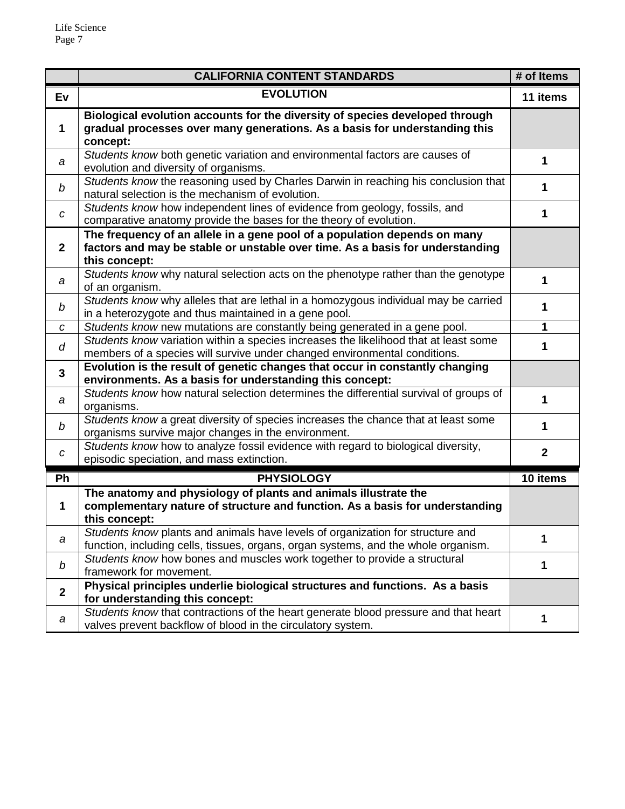|                | <b>CALIFORNIA CONTENT STANDARDS</b>                                                                                                                                         |                |
|----------------|-----------------------------------------------------------------------------------------------------------------------------------------------------------------------------|----------------|
| Ev             | <b>EVOLUTION</b>                                                                                                                                                            |                |
| 1              | Biological evolution accounts for the diversity of species developed through<br>gradual processes over many generations. As a basis for understanding this<br>concept:      |                |
| a              | Students know both genetic variation and environmental factors are causes of<br>evolution and diversity of organisms.                                                       | 1              |
| b              | Students know the reasoning used by Charles Darwin in reaching his conclusion that<br>natural selection is the mechanism of evolution.                                      | 1              |
| C              | Students know how independent lines of evidence from geology, fossils, and<br>comparative anatomy provide the bases for the theory of evolution.                            |                |
| $\mathbf{2}$   | The frequency of an allele in a gene pool of a population depends on many<br>factors and may be stable or unstable over time. As a basis for understanding<br>this concept: |                |
| а              | Students know why natural selection acts on the phenotype rather than the genotype<br>of an organism.                                                                       | 1              |
| b              | Students know why alleles that are lethal in a homozygous individual may be carried<br>in a heterozygote and thus maintained in a gene pool.                                | 1              |
| с              | Students know new mutations are constantly being generated in a gene pool.                                                                                                  |                |
| d              | Students know variation within a species increases the likelihood that at least some<br>members of a species will survive under changed environmental conditions.           | 1              |
| 3              | Evolution is the result of genetic changes that occur in constantly changing<br>environments. As a basis for understanding this concept:                                    |                |
| а              | Students know how natural selection determines the differential survival of groups of<br>organisms.                                                                         | 1              |
| b              | Students know a great diversity of species increases the chance that at least some<br>organisms survive major changes in the environment.                                   | 1              |
| C              | Students know how to analyze fossil evidence with regard to biological diversity,<br>episodic speciation, and mass extinction.                                              | $\overline{2}$ |
| Ph             | <b>PHYSIOLOGY</b>                                                                                                                                                           | 10 items       |
| 1              | The anatomy and physiology of plants and animals illustrate the<br>complementary nature of structure and function. As a basis for understanding<br>this concept:            |                |
| a              | Students know plants and animals have levels of organization for structure and<br>function, including cells, tissues, organs, organ systems, and the whole organism.        | 1              |
| b              | Students know how bones and muscles work together to provide a structural<br>framework for movement.                                                                        |                |
| $\overline{2}$ | Physical principles underlie biological structures and functions. As a basis<br>for understanding this concept:                                                             |                |
| a              | Students know that contractions of the heart generate blood pressure and that heart<br>valves prevent backflow of blood in the circulatory system.                          | 1              |